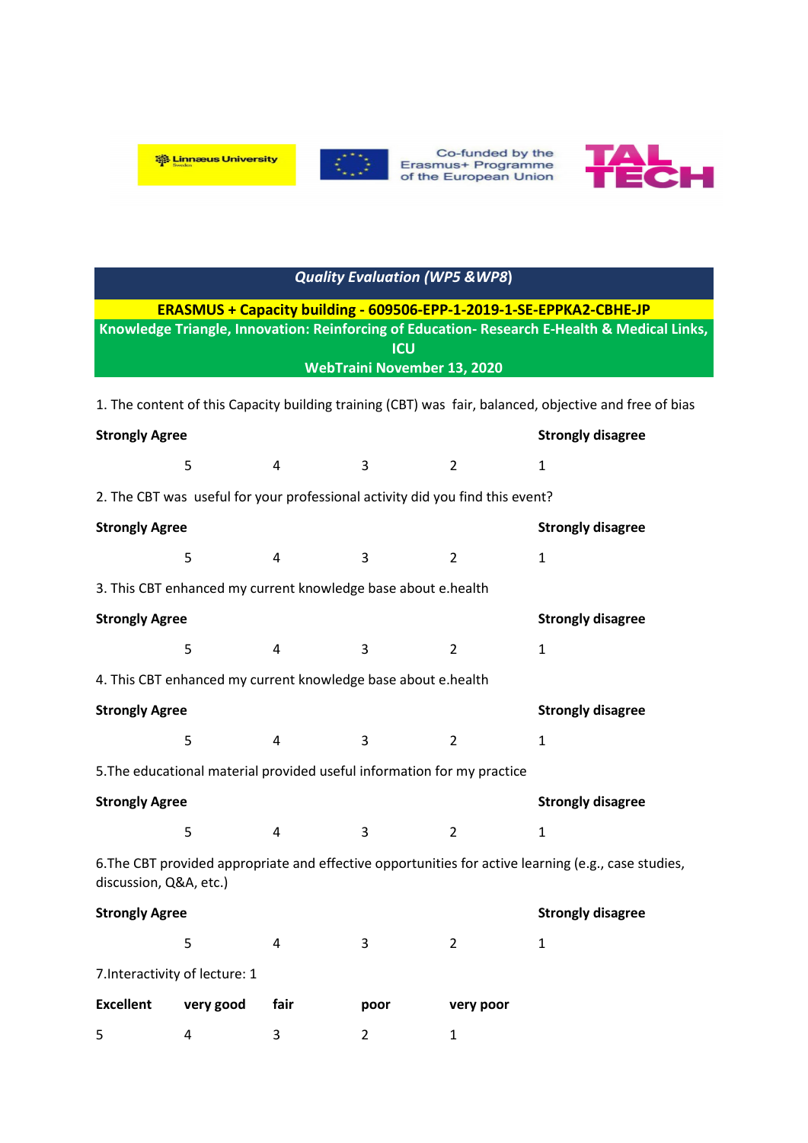



Co-funded by the<br>Erasmus+ Programme<br>of the European Union



|                                                                                                            |                                                                               |      | <b>Quality Evaluation (WP5 &amp; WP8)</b> |                |                                                                                                      |  |  |
|------------------------------------------------------------------------------------------------------------|-------------------------------------------------------------------------------|------|-------------------------------------------|----------------|------------------------------------------------------------------------------------------------------|--|--|
|                                                                                                            |                                                                               |      |                                           |                | ERASMUS + Capacity building - 609506-EPP-1-2019-1-SE-EPPKA2-CBHE-JP                                  |  |  |
| Knowledge Triangle, Innovation: Reinforcing of Education- Research E-Health & Medical Links,<br><b>ICU</b> |                                                                               |      |                                           |                |                                                                                                      |  |  |
| <b>WebTraini November 13, 2020</b>                                                                         |                                                                               |      |                                           |                |                                                                                                      |  |  |
| 1. The content of this Capacity building training (CBT) was fair, balanced, objective and free of bias     |                                                                               |      |                                           |                |                                                                                                      |  |  |
| <b>Strongly Agree</b>                                                                                      |                                                                               |      |                                           |                | <b>Strongly disagree</b>                                                                             |  |  |
|                                                                                                            | 5                                                                             | 4    | 3                                         | $\overline{2}$ | $\mathbf{1}$                                                                                         |  |  |
|                                                                                                            | 2. The CBT was useful for your professional activity did you find this event? |      |                                           |                |                                                                                                      |  |  |
| <b>Strongly Agree</b>                                                                                      |                                                                               |      |                                           |                | <b>Strongly disagree</b>                                                                             |  |  |
|                                                                                                            | 5                                                                             | 4    | 3                                         | $\overline{2}$ | $\mathbf{1}$                                                                                         |  |  |
|                                                                                                            | 3. This CBT enhanced my current knowledge base about e.health                 |      |                                           |                |                                                                                                      |  |  |
| <b>Strongly Agree</b>                                                                                      |                                                                               |      |                                           |                | <b>Strongly disagree</b>                                                                             |  |  |
|                                                                                                            | 5                                                                             | 4    | 3                                         | $\overline{2}$ | $\mathbf{1}$                                                                                         |  |  |
|                                                                                                            | 4. This CBT enhanced my current knowledge base about e.health                 |      |                                           |                |                                                                                                      |  |  |
| <b>Strongly Agree</b>                                                                                      |                                                                               |      |                                           |                | <b>Strongly disagree</b>                                                                             |  |  |
|                                                                                                            | 5                                                                             | 4    | 3                                         | $\overline{2}$ | $\mathbf{1}$                                                                                         |  |  |
|                                                                                                            | 5. The educational material provided useful information for my practice       |      |                                           |                |                                                                                                      |  |  |
| <b>Strongly Agree</b>                                                                                      |                                                                               |      |                                           |                | <b>Strongly disagree</b>                                                                             |  |  |
|                                                                                                            | 5                                                                             | 4    | 3                                         | $\overline{2}$ | $\mathbf{1}$                                                                                         |  |  |
| discussion, Q&A, etc.)                                                                                     |                                                                               |      |                                           |                | 6. The CBT provided appropriate and effective opportunities for active learning (e.g., case studies, |  |  |
| <b>Strongly Agree</b>                                                                                      |                                                                               |      |                                           |                | <b>Strongly disagree</b>                                                                             |  |  |
|                                                                                                            | 5                                                                             | 4    | 3                                         | $\overline{2}$ | $\mathbf{1}$                                                                                         |  |  |
|                                                                                                            | 7. Interactivity of lecture: 1                                                |      |                                           |                |                                                                                                      |  |  |
| <b>Excellent</b>                                                                                           | very good                                                                     | fair | poor                                      | very poor      |                                                                                                      |  |  |

5 4 3 2 1